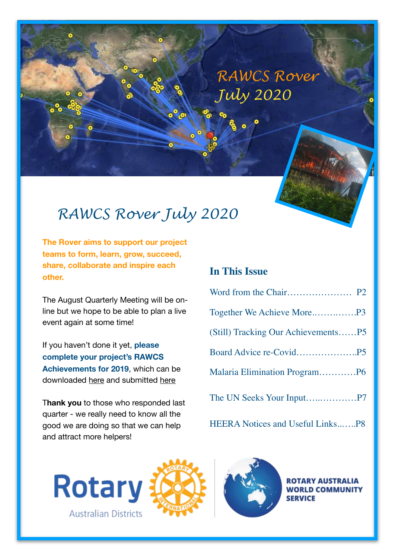# **RAWCS Rover** *July 2020*

## *RAWCS Rover July 2020*

**The Rover aims to support our project teams to form, learn, grow, succeed, share, collaborate and inspire each other.** 

The August Quarterly Meeting will be online but we hope to be able to plan a live event again at some time!

If you haven't done it yet, **please complete your project's RAWCS Achievements for 2019**, which can be downloaded [here](https://rawcs.org.au/regions/rawcs-eastern-region/) and submitted [here](mailto:comms.eastern@rawcs.org.au)

T**hank you** to those who responded last quarter - we really need to know all the good we are doing so that we can help and attract more helpers!

#### **In This Issue**

HEERA Notices and Useful Links..…..P8







**ROTARY AUSTRALIA WORLD COMMUNITY SERVICE**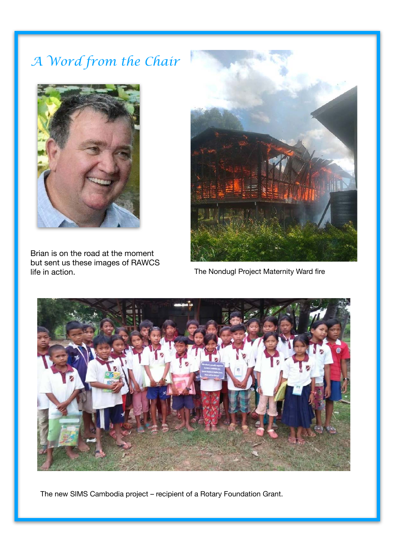# *A Word from the Chair*



Brian is on the road at the moment but sent us these images of RAWCS life in action.



The Nondugl Project Maternity Ward fire



The new SIMS Cambodia project – recipient of a Rotary Foundation Grant.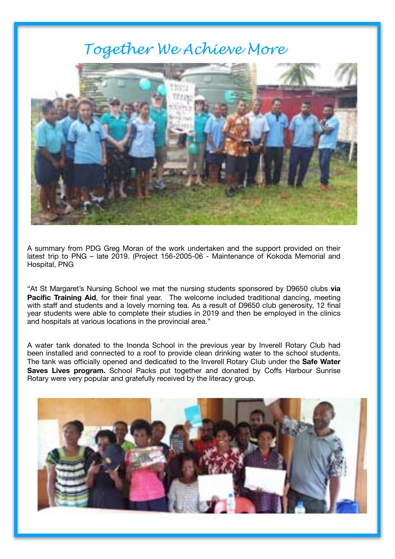## *Together We Achieve More*



A summary from PDG Greg Moran of the work undertaken and the support provided on their latest trip to PNG – late 2019. (Project 156-2005-06 - Maintenance of Kokoda Memorial and Hospital, PNG

"At St Margaret's Nursing School we met the nursing students sponsored by D9650 clubs **via Pacific Training Aid**, for their final year. The welcome included traditional dancing, meeting with staff and students and a lovely morning tea. As a result of D9650 club generosity, 12 final year students were able to complete their studies in 2019 and then be employed in the clinics and hospitals at various locations in the provincial area."

A water tank donated to the Inonda School in the previous year by Inverell Rotary Club had been installed and connected to a roof to provide clean drinking water to the school students. The tank was officially opened and dedicated to the Inverell Rotary Club under the **Safe Water Saves Lives program.** School Packs put together and donated by Coffs Harbour Sunrise Rotary were very popular and gratefully received by the literacy group.

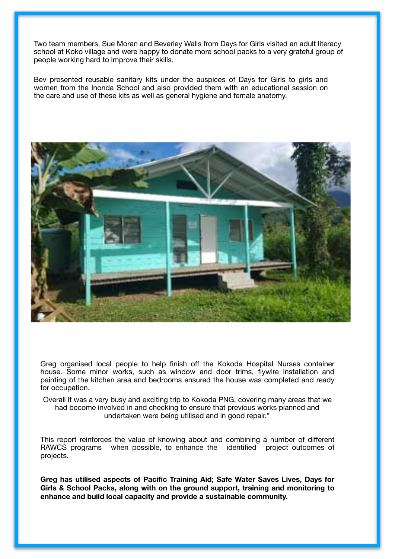Two team members, Sue Moran and Beverley Walls from Days for Girls visited an adult literacy school at Koko village and were happy to donate more school packs to a very grateful group of people working hard to improve their skills.

Bev presented reusable sanitary kits under the auspices of Days for Girls to girls and women from the Inonda School and also provided them with an educational session on the care and use of these kits as well as general hygiene and female anatomy.



Greg organised local people to help finish off the Kokoda Hospital Nurses container house. Some minor works, such as window and door trims, flywire installation and painting of the kitchen area and bedrooms ensured the house was completed and ready for occupation.

Overall it was a very busy and exciting trip to Kokoda PNG, covering many areas that we had become involved in and checking to ensure that previous works planned and undertaken were being utilised and in good repair."

This report reinforces the value of knowing about and combining a number of different RAWCS programs when possible, to enhance the identified project outcomes of projects.

**Greg has utilised aspects of Pacific Training Aid; Safe Water Saves Lives, Days for Girls & School Packs, along with on the ground support, training and monitoring to enhance and build local capacity and provide a sustainable community.**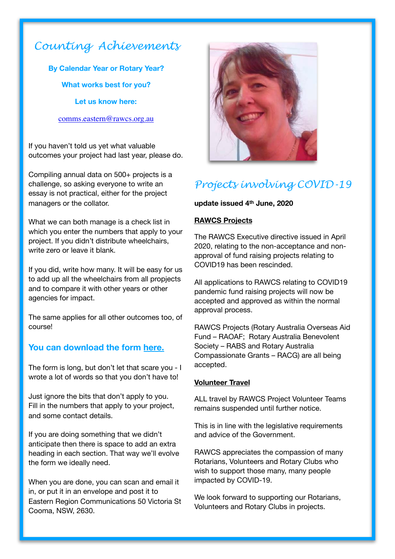### *Counting Achievements*

**By Calendar Year or Rotary Year? What works best for you?** 

**Let us know here:** 

#### [comms.eastern@rawcs.org.au](mailto:comms.eastern@rawcs.org.au)

If you haven't told us yet what valuable outcomes your project had last year, please do.

Compiling annual data on 500+ projects is a challenge, so asking everyone to write an essay is not practical, either for the project managers or the collator.

What we can both manage is a check list in which you enter the numbers that apply to your project. If you didn't distribute wheelchairs, write zero or leave it blank.

If you did, write how many. It will be easy for us to add up all the wheelchairs from all propjects and to compare it with other years or other agencies for impact.

The same applies for all other outcomes too, of course!

#### **You can download the form [here.](https://rawcs.org.au/regions/rawcs-eastern-region/)**

The form is long, but don't let that scare you - I wrote a lot of words so that you don't have to!

Just ignore the bits that don't apply to you. Fill in the numbers that apply to your project, and some contact details.

If you are doing something that we didn't anticipate then there is space to add an extra heading in each section. That way we'll evolve the form we ideally need.

When you are done, you can scan and email it in, or put it in an envelope and post it to Eastern Region Communications 50 Victoria St Cooma, NSW, 2630.



## *Projects involving COVID-19*

#### **update issued 4th June, 2020**

#### **RAWCS Projects**

The RAWCS Executive directive issued in April 2020, relating to the non-acceptance and nonapproval of fund raising projects relating to COVID19 has been rescinded.

All applications to RAWCS relating to COVID19 pandemic fund raising projects will now be accepted and approved as within the normal approval process.

RAWCS Projects (Rotary Australia Overseas Aid Fund – RAOAF; Rotary Australia Benevolent Society – RABS and Rotary Australia Compassionate Grants – RACG) are all being accepted.

#### **Volunteer Travel**

ALL travel by RAWCS Project Volunteer Teams remains suspended until further notice.

This is in line with the legislative requirements and advice of the Government.

RAWCS appreciates the compassion of many Rotarians, Volunteers and Rotary Clubs who wish to support those many, many people impacted by COVID-19.

We look forward to supporting our Rotarians, Volunteers and Rotary Clubs in projects.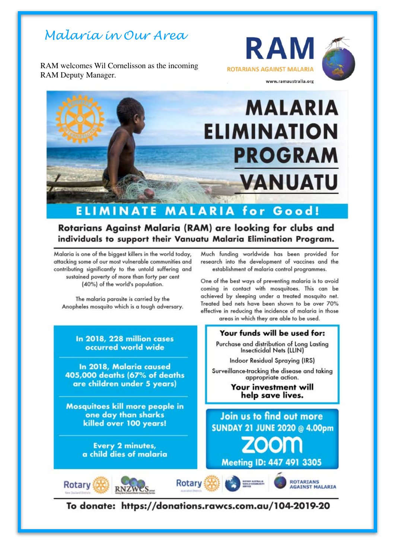## *Malaria in Our Area*

RAM welcomes Wil Cornelisson as the incoming RAM Deputy Manager.





# **MALARIA ELIMINATION PROGRAM VANUATU**

#### **ELIMINATE MALARIA for** Good!

#### Rotarians Against Malaria (RAM) are looking for clubs and individuals to support their Vanuatu Malaria Elimination Program.

Malaria is one of the biggest killers in the world today, attacking some of our most vulnerable communities and contributing significantly to the untold suffering and sustained poverty of more than forty per cent (40%) of the world's population.

The malaria parasite is carried by the Anopheles mosquito which is a tough adversary.

> In 2018, 228 million cases occurred world wide

In 2018, Malaria caused 405,000 deaths (67% of deaths are children under 5 years)

**Mosquitoes kill more people in** one day than sharks killed over 100 years!

> **Every 2 minutes,** a child dies of malaria

**Rotary** 

Much funding worldwide has been provided for research into the development of vaccines and the establishment of malaria control programmes.

One of the best ways of preventing malaria is to avoid coming in contact with mosquitoes. This can be achieved by sleeping under a treated mosquito net. Treated bed nets have been shown to be over 70% effective in reducing the incidence of malaria in those





To donate: https://donations.rawcs.com.au/104-2019-20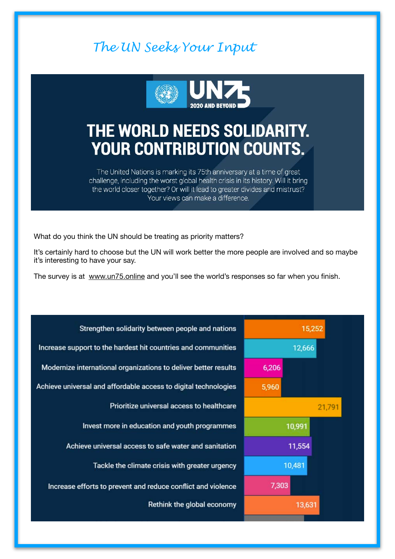## *The UN Seeks Your Input*



# THE WORLD NEEDS SOLIDARITY. **YOUR CONTRIBUTION COUNTS.**

The United Nations is marking its 75th anniversary at a time of great challenge, including the worst global health crisis in its history. Will it bring the world closer together? Or will it lead to greater divides and mistrust? Your views can make a difference.

What do you think the UN should be treating as priority matters?

It's certainly hard to choose but the UN will work better the more people are involved and so maybe it's interesting to have your say.

The survey is at [www.un75.online](http://www.un75.online) and you'll see the world's responses so far when you finish.